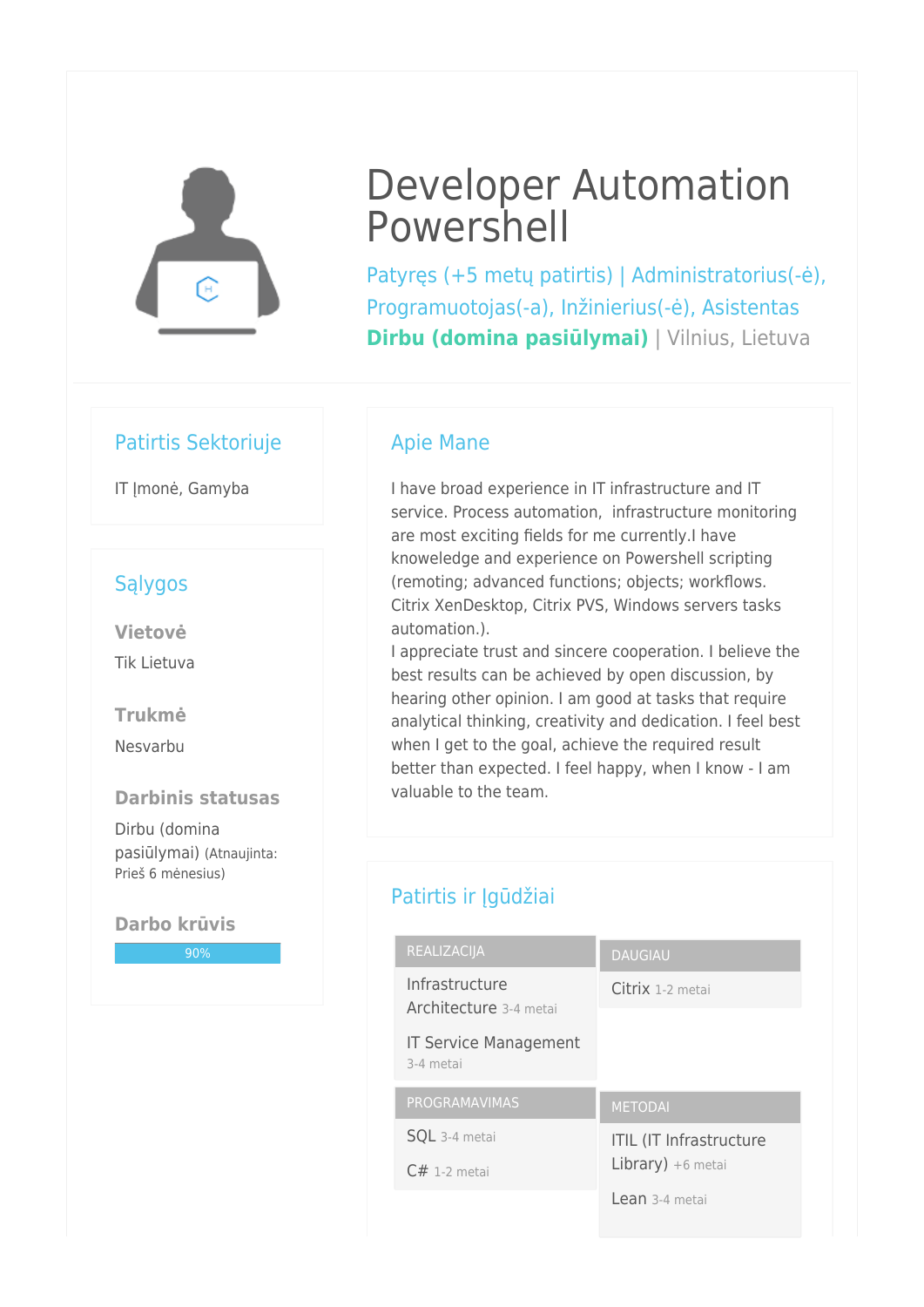

# Developer Automation Powershell

Patyręs (+5 metų patirtis) | Administratorius(-ė), Programuotojas(-a), Inžinierius(-ė), Asistentas **Dirbu (domina pasiūlymai)** | Vilnius, Lietuva

## Patirtis Sektoriuje

IT Imonė, Gamyba

## Sąlygos

**Vietovė** Tik Lietuva

**Trukmė**

Nesvarbu

#### **Darbinis statusas**

Dirbu (domina pasiūlymai) (Atnaujinta: Prieš 6 mėnesius)

#### **Darbo krūvis**

90%

## Apie Mane

I have broad experience in IT infrastructure and IT service. Process automation, infrastructure monitoring are most exciting fields for me currently.I have knoweledge and experience on Powershell scripting (remoting; advanced functions; objects; workflows. Citrix XenDesktop, Citrix PVS, Windows servers tasks automation.).

I appreciate trust and sincere cooperation. I believe the best results can be achieved by open discussion, by hearing other opinion. I am good at tasks that require analytical thinking, creativity and dedication. I feel best when I get to the goal, achieve the required result better than expected. I feel happy, when I know - I am valuable to the team.

# Patirtis ir Įgūdžiai

| REALIZACIJA                               | <b>DAUGIAU</b>                 |
|-------------------------------------------|--------------------------------|
| Infrastructure<br>Architecture 3-4 metai  | Citrix 1-2 metai               |
| <b>IT Service Management</b><br>3-4 metai |                                |
|                                           |                                |
| PROGRAMAVIMAS                             | <b>METODAI</b>                 |
| <b>SQL</b> 3-4 metai                      | <b>ITIL (IT Infrastructure</b> |
| $C#$ 1-2 metai                            | Library) $+6$ metai            |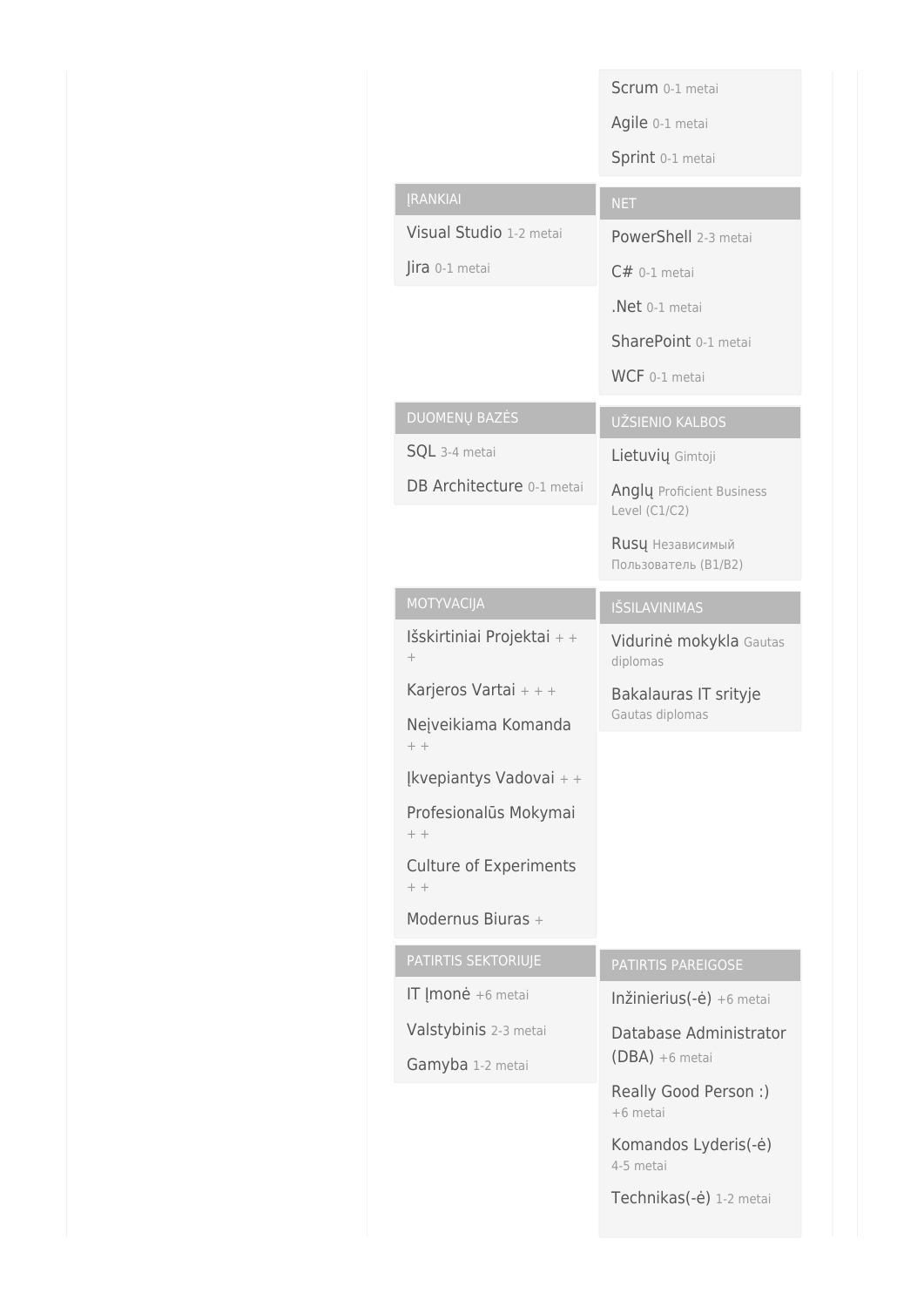|                                        | Scrum 0-1 metai                            |
|----------------------------------------|--------------------------------------------|
|                                        | Agile 0-1 metai                            |
|                                        | Sprint 0-1 metai                           |
| <b>[RANKIAI</b>                        | <b>NET</b>                                 |
| Visual Studio 1-2 metai                | PowerShell 2-3 metai                       |
| Jira 0-1 metai                         | $C#$ 0-1 metai                             |
|                                        | Net 0-1 metai                              |
|                                        | SharePoint 0-1 metai                       |
|                                        | WCF 0-1 metai                              |
| <b>DUOMENŲ BAZĖS</b>                   | UŽSIENIO KALBOS                            |
| SQL 3-4 metai                          | Lietuvių Gimtoji                           |
| DB Architecture 0-1 metai              | Angly Proficient Business<br>Level (C1/C2) |
|                                        | Rusų Независимый<br>Пользователь (В1/В2)   |
| MOTYVACIJA                             | <b>IŠSILAVINIMAS</b>                       |
| Išskirtiniai Projektai + +<br>$^{+}$   | Vidurinė mokykla Gautas<br>diplomas        |
| Karjeros Vartai + + +                  | Bakalauras IT srityje                      |
| Neįveikiama Komanda<br>$+ +$           | Gautas diplomas                            |
| Ikvepiantys Vadovai + +                |                                            |
| Profesionalūs Mokymai<br>$+ +$         |                                            |
| <b>Culture of Experiments</b><br>$+ +$ |                                            |
| Modernus Biuras +                      |                                            |
| PATIRTIS SEKTORIUJE                    | PATIRTIS PAREIGOSE                         |
| IT <i>[monè</i> +6 metai               | Inžinierius $(-\dot{e}) + 6$ metai         |
| Valstybinis 2-3 metai                  | Database Administrator                     |
| Gamyba 1-2 metai                       | $(DBA) + 6$ metai                          |
|                                        | Really Good Person :)<br>+6 metai          |
|                                        | Komandos Lyderis(-ė)<br>4-5 metai          |
|                                        | Technikas(-ė) 1-2 metai                    |